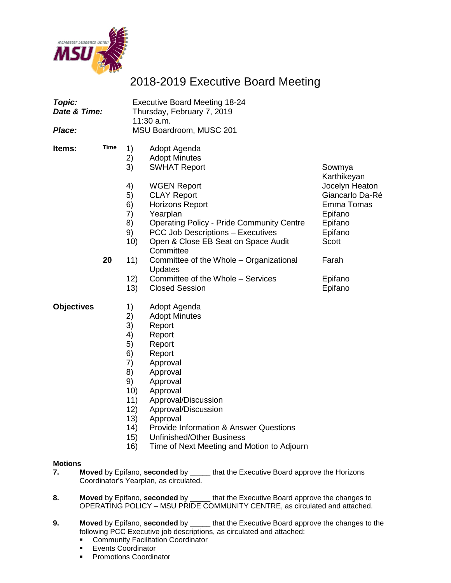

# 2018-2019 Executive Board Meeting

| Topic:<br>Date & Time: |      |                                                                                              | <b>Executive Board Meeting 18-24</b><br>Thursday, February 7, 2019<br>11:30 a.m.                                                                                                                                                                                          |                                                                                                  |
|------------------------|------|----------------------------------------------------------------------------------------------|---------------------------------------------------------------------------------------------------------------------------------------------------------------------------------------------------------------------------------------------------------------------------|--------------------------------------------------------------------------------------------------|
| Place:                 |      |                                                                                              | MSU Boardroom, MUSC 201                                                                                                                                                                                                                                                   |                                                                                                  |
| ltems:                 | Time | 1)<br>2)<br>3)                                                                               | Adopt Agenda<br><b>Adopt Minutes</b><br><b>SWHAT Report</b>                                                                                                                                                                                                               | Sowmya<br>Karthikeyan                                                                            |
|                        |      | 4)<br>5)<br>6)<br>7)<br>8)<br>9)<br>10)                                                      | <b>WGEN Report</b><br><b>CLAY Report</b><br><b>Horizons Report</b><br>Yearplan<br><b>Operating Policy - Pride Community Centre</b><br><b>PCC Job Descriptions - Executives</b><br>Open & Close EB Seat on Space Audit<br>Committee                                        | Jocelyn Heaton<br>Giancarlo Da-Ré<br>Emma Tomas<br>Epifano<br>Epifano<br>Epifano<br><b>Scott</b> |
|                        | 20   | 11)<br>12)<br>13)                                                                            | Committee of the Whole - Organizational<br>Updates<br>Committee of the Whole - Services<br><b>Closed Session</b>                                                                                                                                                          | Farah<br>Epifano<br>Epifano                                                                      |
| <b>Objectives</b>      |      | 1)<br>2)<br>3)<br>4)<br>5)<br>6)<br>7)<br>8)<br>9)<br>10)<br>11)<br>12)<br>13)<br>14)<br>15) | Adopt Agenda<br><b>Adopt Minutes</b><br>Report<br>Report<br>Report<br>Report<br>Approval<br>Approval<br>Approval<br>Approval<br>Approval/Discussion<br>Approval/Discussion<br>Approval<br><b>Provide Information &amp; Answer Questions</b><br>LInfinichad/Othar Rusingss |                                                                                                  |

15) Unfinished/Other Business

## 16) Time of Next Meeting and Motion to Adjourn

# **Motions**

- **7. Moved** by Epifano, **seconded** by \_\_\_\_\_ that the Executive Board approve the Horizons Coordinator's Yearplan, as circulated.
- **8. Moved** by Epifano, **seconded** by \_\_\_\_\_ that the Executive Board approve the changes to OPERATING POLICY – MSU PRIDE COMMUNITY CENTRE, as circulated and attached.
- **9. Moved** by Epifano, **seconded** by \_\_\_\_\_ that the Executive Board approve the changes to the following PCC Executive job descriptions, as circulated and attached:
	- **Community Facilitation Coordinator**<br>**Events Coordinator**
	- **Events Coordinator**<br>**Promotions Coordination**
	- Promotions Coordinator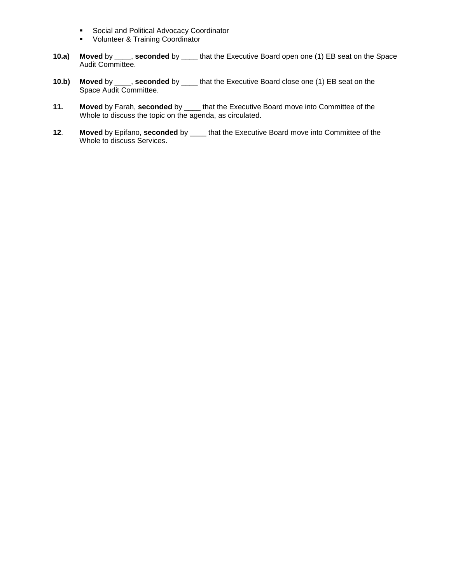- **Social and Political Advocacy Coordinator**
- **•** Volunteer & Training Coordinator
- **10.a) Moved** by \_\_\_\_, **seconded** by \_\_\_\_ that the Executive Board open one (1) EB seat on the Space Audit Committee.
- **10.b) Moved** by \_\_\_\_, **seconded** by \_\_\_\_ that the Executive Board close one (1) EB seat on the Space Audit Committee.
- **11. Moved** by Farah, **seconded** by \_\_\_\_ that the Executive Board move into Committee of the Whole to discuss the topic on the agenda, as circulated.
- **12**. **Moved** by Epifano, **seconded** by \_\_\_\_ that the Executive Board move into Committee of the Whole to discuss Services.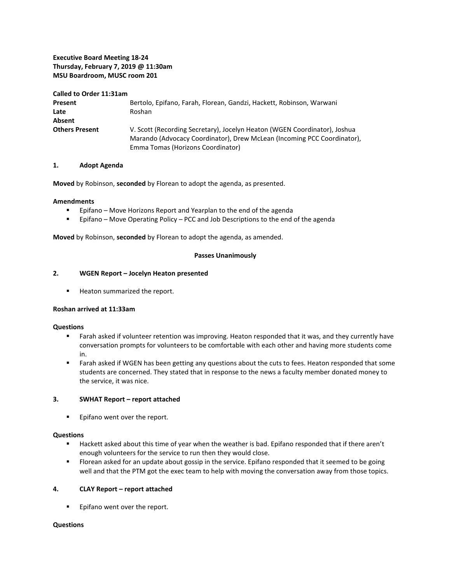### **Executive Board Meeting 18-24 Thursday, February 7, 2019 @ 11:30am MSU Boardroom, MUSC room 201**

| Called to Order 11:31am |                                                                                                                                                                                           |
|-------------------------|-------------------------------------------------------------------------------------------------------------------------------------------------------------------------------------------|
| Present                 | Bertolo, Epifano, Farah, Florean, Gandzi, Hackett, Robinson, Warwani                                                                                                                      |
| Late                    | Roshan                                                                                                                                                                                    |
| Absent                  |                                                                                                                                                                                           |
| <b>Others Present</b>   | V. Scott (Recording Secretary), Jocelyn Heaton (WGEN Coordinator), Joshua<br>Marando (Advocacy Coordinator), Drew McLean (Incoming PCC Coordinator),<br>Emma Tomas (Horizons Coordinator) |

### **1. Adopt Agenda**

**Moved** by Robinson, **seconded** by Florean to adopt the agenda, as presented.

### **Amendments**

- **Epifano Move Horizons Report and Yearplan to the end of the agenda**
- Epifano Move Operating Policy PCC and Job Descriptions to the end of the agenda

**Moved** by Robinson, **seconded** by Florean to adopt the agenda, as amended.

### **Passes Unanimously**

### **2. WGEN Report – Jocelyn Heaton presented**

**Heaton summarized the report.** 

### **Roshan arrived at 11:33am**

### **Questions**

- Farah asked if volunteer retention was improving. Heaton responded that it was, and they currently have conversation prompts for volunteers to be comfortable with each other and having more students come in.
- **Farah asked if WGEN has been getting any questions about the cuts to fees. Heaton responded that some** students are concerned. They stated that in response to the news a faculty member donated money to the service, it was nice.

### **3. SWHAT Report – report attached**

**Epifano went over the report.** 

### **Questions**

- Hackett asked about this time of year when the weather is bad. Epifano responded that if there aren't enough volunteers for the service to run then they would close.
- **FIOT** Florean asked for an update about gossip in the service. Epifano responded that it seemed to be going well and that the PTM got the exec team to help with moving the conversation away from those topics.

### **4. CLAY Report – report attached**

**Epifano went over the report.** 

### **Questions**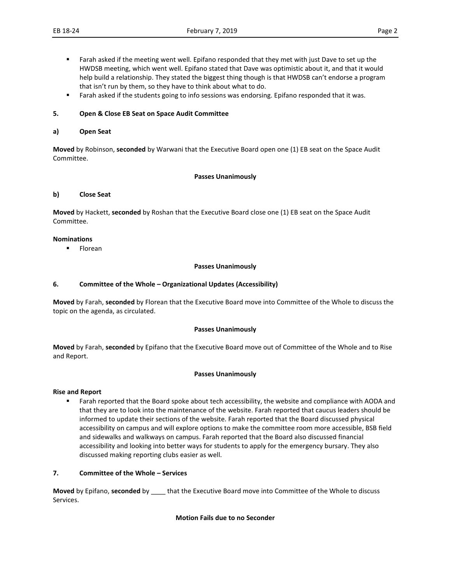- Farah asked if the meeting went well. Epifano responded that they met with just Dave to set up the HWDSB meeting, which went well. Epifano stated that Dave was optimistic about it, and that it would help build a relationship. They stated the biggest thing though is that HWDSB can't endorse a program that isn't run by them, so they have to think about what to do.
- **Farah asked if the students going to info sessions was endorsing. Epifano responded that it was.**

### **5. Open & Close EB Seat on Space Audit Committee**

### **a) Open Seat**

**Moved** by Robinson, **seconded** by Warwani that the Executive Board open one (1) EB seat on the Space Audit Committee.

### **Passes Unanimously**

### **b) Close Seat**

**Moved** by Hackett, **seconded** by Roshan that the Executive Board close one (1) EB seat on the Space Audit Committee.

### **Nominations**

**Florean** 

### **Passes Unanimously**

### **6. Committee of the Whole – Organizational Updates (Accessibility)**

**Moved** by Farah, **seconded** by Florean that the Executive Board move into Committee of the Whole to discuss the topic on the agenda, as circulated.

### **Passes Unanimously**

**Moved** by Farah, **seconded** by Epifano that the Executive Board move out of Committee of the Whole and to Rise and Report.

### **Passes Unanimously**

### **Rise and Report**

**Farah reported that the Board spoke about tech accessibility, the website and compliance with AODA and** that they are to look into the maintenance of the website. Farah reported that caucus leaders should be informed to update their sections of the website. Farah reported that the Board discussed physical accessibility on campus and will explore options to make the committee room more accessible, BSB field and sidewalks and walkways on campus. Farah reported that the Board also discussed financial accessibility and looking into better ways for students to apply for the emergency bursary. They also discussed making reporting clubs easier as well.

### **7. Committee of the Whole – Services**

**Moved** by Epifano, **seconded** by \_\_\_\_ that the Executive Board move into Committee of the Whole to discuss Services.

### **Motion Fails due to no Seconder**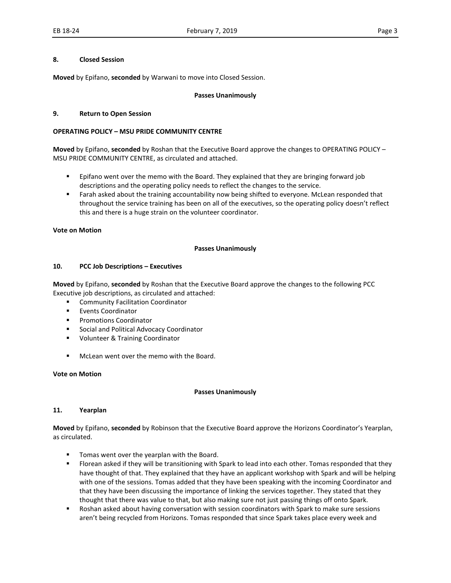### **8. Closed Session**

**Moved** by Epifano, **seconded** by Warwani to move into Closed Session.

### **Passes Unanimously**

### **9. Return to Open Session**

### **OPERATING POLICY – MSU PRIDE COMMUNITY CENTRE**

**Moved** by Epifano, **seconded** by Roshan that the Executive Board approve the changes to OPERATING POLICY – MSU PRIDE COMMUNITY CENTRE, as circulated and attached.

- **Epifano went over the memo with the Board. They explained that they are bringing forward job** descriptions and the operating policy needs to reflect the changes to the service.
- **Farah asked about the training accountability now being shifted to everyone. McLean responded that** throughout the service training has been on all of the executives, so the operating policy doesn't reflect this and there is a huge strain on the volunteer coordinator.

### **Vote on Motion**

### **Passes Unanimously**

### **10. PCC Job Descriptions – Executives**

**Moved** by Epifano, **seconded** by Roshan that the Executive Board approve the changes to the following PCC Executive job descriptions, as circulated and attached:

- **EXECOMMUNITY Facilitation Coordinator**
- Events Coordinator
- **Promotions Coordinator**
- Social and Political Advocacy Coordinator
- **U** Volunteer & Training Coordinator
- McLean went over the memo with the Board.

### **Vote on Motion**

### **Passes Unanimously**

### **11. Yearplan**

**Moved** by Epifano, **seconded** by Robinson that the Executive Board approve the Horizons Coordinator's Yearplan, as circulated.

- **Tomas went over the yearplan with the Board.**
- Florean asked if they will be transitioning with Spark to lead into each other. Tomas responded that they have thought of that. They explained that they have an applicant workshop with Spark and will be helping with one of the sessions. Tomas added that they have been speaking with the incoming Coordinator and that they have been discussing the importance of linking the services together. They stated that they thought that there was value to that, but also making sure not just passing things off onto Spark.
- Roshan asked about having conversation with session coordinators with Spark to make sure sessions aren't being recycled from Horizons. Tomas responded that since Spark takes place every week and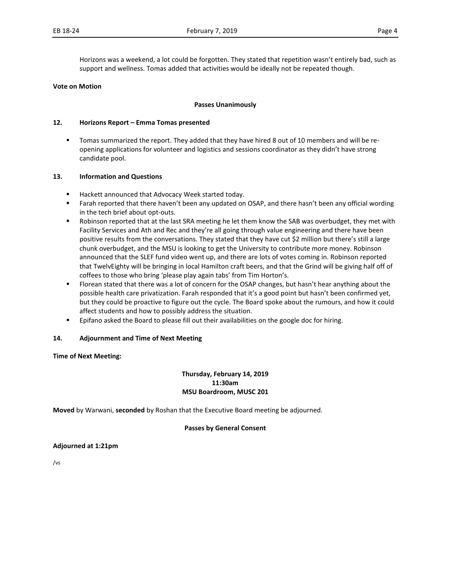Horizons was a weekend, a lot could be forgotten. They stated that repetition wasn't entirely bad, such as support and wellness. Tomas added that activities would be ideally not be repeated though.

#### **Vote on Motion**

#### **Passes Unanimously**

#### **12. Horizons Report – Emma Tomas presented**

 Tomas summarized the report. They added that they have hired 8 out of 10 members and will be reopening applications for volunteer and logistics and sessions coordinator as they didn't have strong candidate pool.

#### **13. Information and Questions**

- **Hackett announced that Advocacy Week started today.**
- **Farah reported that there haven't been any updated on OSAP, and there hasn't been any official wording** in the tech brief about opt-outs.
- Robinson reported that at the last SRA meeting he let them know the SAB was overbudget, they met with Facility Services and Ath and Rec and they're all going through value engineering and there have been positive results from the conversations. They stated that they have cut \$2 million but there's still a large chunk overbudget, and the MSU is looking to get the University to contribute more money. Robinson announced that the SLEF fund video went up, and there are lots of votes coming in. Robinson reported that TwelvEighty will be bringing in local Hamilton craft beers, and that the Grind will be giving half off of coffees to those who bring 'please play again tabs' from Tim Horton's.
- Florean stated that there was a lot of concern for the OSAP changes, but hasn't hear anything about the possible health care privatization. Farah responded that it's a good point but hasn't been confirmed yet, but they could be proactive to figure out the cycle. The Board spoke about the rumours, and how it could affect students and how to possibly address the situation.
- **Epifano asked the Board to please fill out their availabilities on the google doc for hiring.**

### **14. Adjournment and Time of Next Meeting**

### **Time of Next Meeting:**

### **Thursday, February 14, 2019 11:30am MSU Boardroom, MUSC 201**

**Moved** by Warwani, **seconded** by Roshan that the Executive Board meeting be adjourned.

### **Passes by General Consent**

### **Adjourned at 1:21pm**

/vs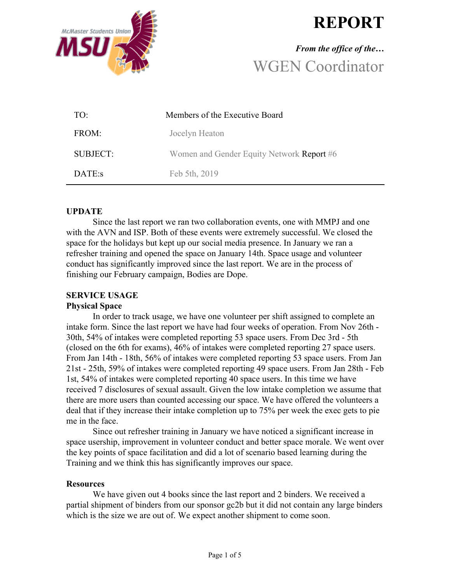

# **REPORT**

# *From the office of the…* WGEN Coordinator

| TO:      | Members of the Executive Board            |
|----------|-------------------------------------------|
| FROM:    | Jocelyn Heaton                            |
| SUBJECT: | Women and Gender Equity Network Report #6 |
| DATE:s   | Feb 5th, 2019                             |

# **UPDATE**

Since the last report we ran two collaboration events, one with MMPJ and one with the AVN and ISP. Both of these events were extremely successful. We closed the space for the holidays but kept up our social media presence. In January we ran a refresher training and opened the space on January 14th. Space usage and volunteer conduct has significantly improved since the last report. We are in the process of finishing our February campaign, Bodies are Dope.

# **SERVICE USAGE**

# **Physical Space**

In order to track usage, we have one volunteer per shift assigned to complete an intake form. Since the last report we have had four weeks of operation. From Nov 26th - 30th, 54% of intakes were completed reporting 53 space users. From Dec 3rd - 5th (closed on the 6th for exams), 46% of intakes were completed reporting 27 space users. From Jan 14th - 18th, 56% of intakes were completed reporting 53 space users. From Jan 21st - 25th, 59% of intakes were completed reporting 49 space users. From Jan 28th - Feb 1st, 54% of intakes were completed reporting 40 space users. In this time we have received 7 disclosures of sexual assault. Given the low intake completion we assume that there are more users than counted accessing our space. We have offered the volunteers a deal that if they increase their intake completion up to 75% per week the exec gets to pie me in the face.

Since out refresher training in January we have noticed a significant increase in space usership, improvement in volunteer conduct and better space morale. We went over the key points of space facilitation and did a lot of scenario based learning during the Training and we think this has significantly improves our space.

# **Resources**

We have given out 4 books since the last report and 2 binders. We received a partial shipment of binders from our sponsor gc2b but it did not contain any large binders which is the size we are out of. We expect another shipment to come soon.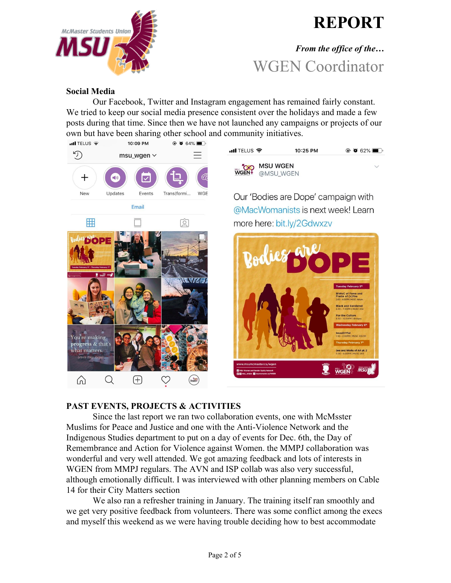

# **REPORT**

# *From the office of the…* WGEN Coordinator

## **Social Media**

Our Facebook, Twitter and Instagram engagement has remained fairly constant. We tried to keep our social media presence consistent over the holidays and made a few posts during that time. Since then we have not launched any campaigns or projects of our own but have been sharing other school and community initiatives.



# **PAST EVENTS, PROJECTS & ACTIVITIES**

Since the last report we ran two collaboration events, one with McMsster Muslims for Peace and Justice and one with the Anti-Violence Network and the Indigenous Studies department to put on a day of events for Dec. 6th, the Day of Remembrance and Action for Violence against Women. the MMPJ collaboration was wonderful and very well attended. We got amazing feedback and lots of interests in WGEN from MMPJ regulars. The AVN and ISP collab was also very successful, although emotionally difficult. I was interviewed with other planning members on Cable 14 for their City Matters section

We also ran a refresher training in January. The training itself ran smoothly and we get very positive feedback from volunteers. There was some conflict among the execs and myself this weekend as we were having trouble deciding how to best accommodate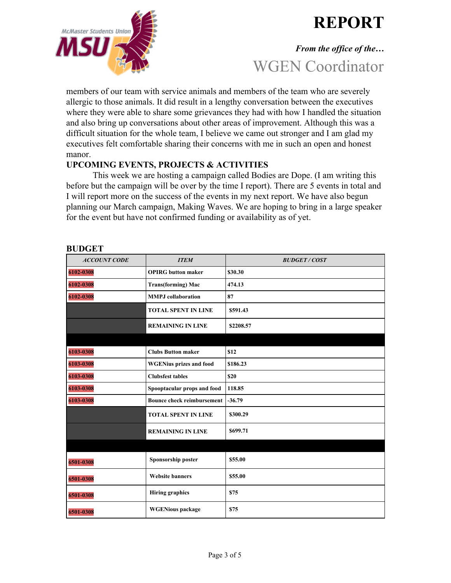



# *From the office of the…* WGEN Coordinator

members of our team with service animals and members of the team who are severely allergic to those animals. It did result in a lengthy conversation between the executives where they were able to share some grievances they had with how I handled the situation and also bring up conversations about other areas of improvement. Although this was a difficult situation for the whole team, I believe we came out stronger and I am glad my executives felt comfortable sharing their concerns with me in such an open and honest manor.

# **UPCOMING EVENTS, PROJECTS & ACTIVITIES**

This week we are hosting a campaign called Bodies are Dope. (I am writing this before but the campaign will be over by the time I report). There are 5 events in total and I will report more on the success of the events in my next report. We have also begun planning our March campaign, Making Waves. We are hoping to bring in a large speaker for the event but have not confirmed funding or availability as of yet.

| <b>ACCOUNT CODE</b> | <b>ITEM</b>                       | <b>BUDGET/COST</b> |
|---------------------|-----------------------------------|--------------------|
| 6102-0308           | <b>OPIRG</b> button maker         | \$30.30            |
| 6102-0308           | <b>Trans(forming)</b> Mac         | 474.13             |
| 6102-0308           | <b>MMPJ</b> collaboration         | 87                 |
|                     | <b>TOTAL SPENT IN LINE</b>        | \$591.43           |
|                     | <b>REMAINING IN LINE</b>          | \$2208.57          |
|                     |                                   |                    |
| 6103-0308           | <b>Clubs Button maker</b>         | \$12               |
| 6103-0308           | <b>WGENius prizes and food</b>    | \$186.23           |
| 6103-0308           | <b>Clubsfest tables</b>           | \$20               |
| 6103-0308           | Spooptacular props and food       | 118.85             |
| 6103-0308           | <b>Bounce check reimbursement</b> | $-36.79$           |
|                     | <b>TOTAL SPENT IN LINE</b>        | \$300.29           |
|                     | <b>REMAINING IN LINE</b>          | \$699.71           |
|                     |                                   |                    |
| 6501-0308           | Sponsorship poster                | \$55.00            |
| 6501-0308           | <b>Website banners</b>            | \$55.00            |
| 6501-0308           | <b>Hiring graphics</b>            | \$75               |
| 6501-0308           | <b>WGENious</b> package           | \$75               |

# **BUDGET**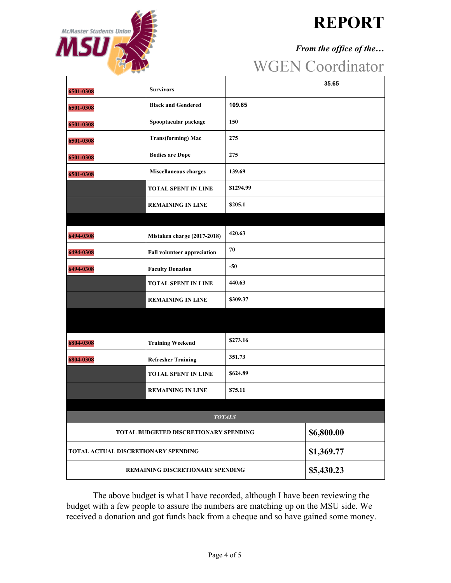

# **REPORT**

# *From the office of the…*

# WGEN Coordinator

| 6501-0308                               | <b>Survivors</b>                      |               | 35.65      |
|-----------------------------------------|---------------------------------------|---------------|------------|
|                                         | <b>Black and Gendered</b>             | 109.65        |            |
| 6501-0308                               |                                       |               |            |
| 6501-0308                               | Spooptacular package                  | 150           |            |
| 6501-0308                               | <b>Trans(forming) Mac</b>             | 275           |            |
| 6501-0308                               | <b>Bodies are Dope</b>                | 275           |            |
| 6501-0308                               | Miscellaneous charges                 | 139.69        |            |
|                                         | <b>TOTAL SPENT IN LINE</b>            | \$1294.99     |            |
|                                         | <b>REMAINING IN LINE</b>              | \$205.1       |            |
|                                         |                                       |               |            |
| 6494-0308                               | Mistaken charge (2017-2018)           | 420.63        |            |
| 6494-0308                               | <b>Fall volunteer appreciation</b>    | 70            |            |
| 6494-0308                               | <b>Faculty Donation</b>               | $-50$         |            |
|                                         | <b>TOTAL SPENT IN LINE</b>            | 440.63        |            |
|                                         | <b>REMAINING IN LINE</b>              | \$309.37      |            |
|                                         |                                       |               |            |
|                                         |                                       |               |            |
| 6804-0308                               | <b>Training Weekend</b>               | \$273.16      |            |
| 6804-0308                               | <b>Refresher Training</b>             | 351.73        |            |
|                                         | <b>TOTAL SPENT IN LINE</b>            | \$624.89      |            |
|                                         | <b>REMAINING IN LINE</b>              | \$75.11       |            |
|                                         |                                       |               |            |
|                                         |                                       | <b>TOTALS</b> |            |
|                                         | TOTAL BUDGETED DISCRETIONARY SPENDING |               | \$6,800.00 |
| TOTAL ACTUAL DISCRETIONARY SPENDING     |                                       |               | \$1,369.77 |
| <b>REMAINING DISCRETIONARY SPENDING</b> |                                       |               | \$5,430.23 |

The above budget is what I have recorded, although I have been reviewing the budget with a few people to assure the numbers are matching up on the MSU side. We received a donation and got funds back from a cheque and so have gained some money.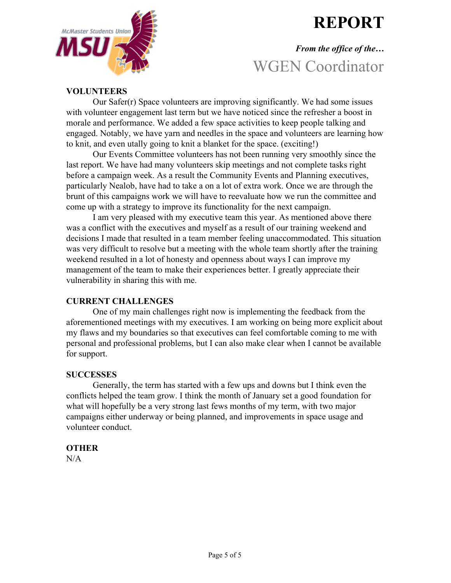# **REPORT**



# *From the office of the…* WGEN Coordinator

# **VOLUNTEERS**

Our Safer(r) Space volunteers are improving significantly. We had some issues with volunteer engagement last term but we have noticed since the refresher a boost in morale and performance. We added a few space activities to keep people talking and engaged. Notably, we have yarn and needles in the space and volunteers are learning how to knit, and even utally going to knit a blanket for the space. (exciting!)

Our Events Committee volunteers has not been running very smoothly since the last report. We have had many volunteers skip meetings and not complete tasks right before a campaign week. As a result the Community Events and Planning executives, particularly Nealob, have had to take a on a lot of extra work. Once we are through the brunt of this campaigns work we will have to reevaluate how we run the committee and come up with a strategy to improve its functionality for the next campaign.

I am very pleased with my executive team this year. As mentioned above there was a conflict with the executives and myself as a result of our training weekend and decisions I made that resulted in a team member feeling unaccommodated. This situation was very difficult to resolve but a meeting with the whole team shortly after the training weekend resulted in a lot of honesty and openness about ways I can improve my management of the team to make their experiences better. I greatly appreciate their vulnerability in sharing this with me.

# **CURRENT CHALLENGES**

One of my main challenges right now is implementing the feedback from the aforementioned meetings with my executives. I am working on being more explicit about my flaws and my boundaries so that executives can feel comfortable coming to me with personal and professional problems, but I can also make clear when I cannot be available for support.

### **SUCCESSES**

Generally, the term has started with a few ups and downs but I think even the conflicts helped the team grow. I think the month of January set a good foundation for what will hopefully be a very strong last fews months of my term, with two major campaigns either underway or being planned, and improvements in space usage and volunteer conduct.

### **OTHER**

 $N/A$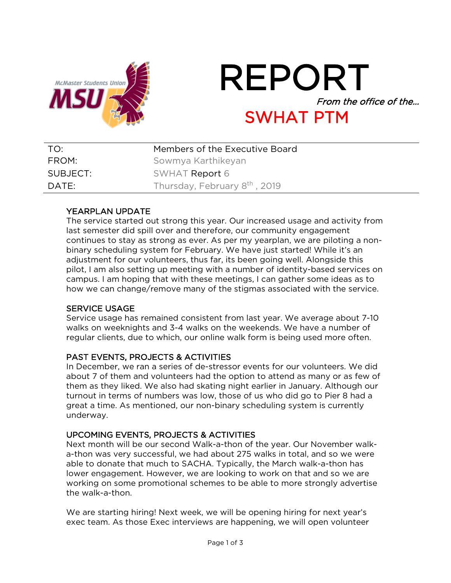

# REPORT From the office of the… SWHAT PTM

| TO:      | Members of the Executive Board            |
|----------|-------------------------------------------|
| FROM:    | Sowmya Karthikeyan                        |
| SUBJECT: | SWHAT Report 6                            |
| DATE:    | Thursday, February 8 <sup>th</sup> , 2019 |

# YEARPLAN UPDATE

The service started out strong this year. Our increased usage and activity from last semester did spill over and therefore, our community engagement continues to stay as strong as ever. As per my yearplan, we are piloting a nonbinary scheduling system for February. We have just started! While it's an adjustment for our volunteers, thus far, its been going well. Alongside this pilot, I am also setting up meeting with a number of identity-based services on campus. I am hoping that with these meetings, I can gather some ideas as to how we can change/remove many of the stigmas associated with the service.

# SERVICE USAGE

Service usage has remained consistent from last year. We average about 7-10 walks on weeknights and 3-4 walks on the weekends. We have a number of regular clients, due to which, our online walk form is being used more often.

# PAST EVENTS, PROJECTS & ACTIVITIES

In December, we ran a series of de-stressor events for our volunteers. We did about 7 of them and volunteers had the option to attend as many or as few of them as they liked. We also had skating night earlier in January. Although our turnout in terms of numbers was low, those of us who did go to Pier 8 had a great a time. As mentioned, our non-binary scheduling system is currently underway.

# UPCOMING EVENTS, PROJECTS & ACTIVITIES

Next month will be our second Walk-a-thon of the year. Our November walka-thon was very successful, we had about 275 walks in total, and so we were able to donate that much to SACHA. Typically, the March walk-a-thon has lower engagement. However, we are looking to work on that and so we are working on some promotional schemes to be able to more strongly advertise the walk-a-thon.

We are starting hiring! Next week, we will be opening hiring for next year's exec team. As those Exec interviews are happening, we will open volunteer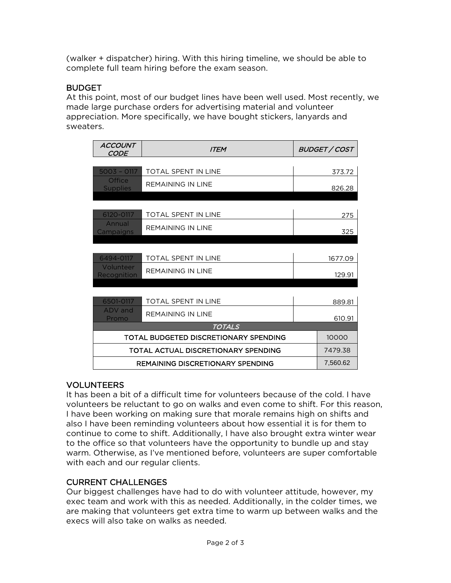(walker + dispatcher) hiring. With this hiring timeline, we should be able to complete full team hiring before the exam season.

# **BUDGET**

At this point, most of our budget lines have been well used. Most recently, we made large purchase orders for advertising material and volunteer appreciation. More specifically, we have bought stickers, lanyards and sweaters.

| <b>ACCOUNT</b><br>CODE                  | <b>ITEM</b>                           |  | BUDGET / COST |
|-----------------------------------------|---------------------------------------|--|---------------|
|                                         |                                       |  |               |
| $5003 - 0117$                           | <b>TOTAL SPENT IN LINE</b>            |  | 373.72        |
| <b>Office</b><br><b>Supplies</b>        | <b>REMAINING IN LINE</b>              |  | 826.28        |
|                                         |                                       |  |               |
| 6120-0117                               | <b>TOTAL SPENT IN LINE</b>            |  | 275           |
| Annual<br>Campaigns                     | <b>REMAINING IN LINE</b>              |  | 325           |
|                                         |                                       |  |               |
|                                         |                                       |  |               |
| 6494-0117                               | TOTAL SPENT IN LINE                   |  | 1677.09       |
| Volunteer<br>Recognition                | <b>REMAINING IN LINE</b>              |  | 129.91        |
|                                         |                                       |  |               |
| 6501-0117                               | TOTAL SPENT IN LINE                   |  | 889.81        |
| ADV and<br>Promo                        | <b>REMAINING IN LINE</b>              |  | 610.91        |
|                                         | <b>TOTALS</b>                         |  |               |
|                                         | TOTAL BUDGETED DISCRETIONARY SPENDING |  | 10000         |
| TOTAL ACTUAL DISCRETIONARY SPENDING     |                                       |  | 7479.38       |
| <b>REMAINING DISCRETIONARY SPENDING</b> |                                       |  | 7,560.62      |

# VOLUNTEERS

It has been a bit of a difficult time for volunteers because of the cold. I have volunteers be reluctant to go on walks and even come to shift. For this reason, I have been working on making sure that morale remains high on shifts and also I have been reminding volunteers about how essential it is for them to continue to come to shift. Additionally, I have also brought extra winter wear to the office so that volunteers have the opportunity to bundle up and stay warm. Otherwise, as I've mentioned before, volunteers are super comfortable with each and our regular clients.

# CURRENT CHALLENGES

Our biggest challenges have had to do with volunteer attitude, however, my exec team and work with this as needed. Additionally, in the colder times, we are making that volunteers get extra time to warm up between walks and the execs will also take on walks as needed.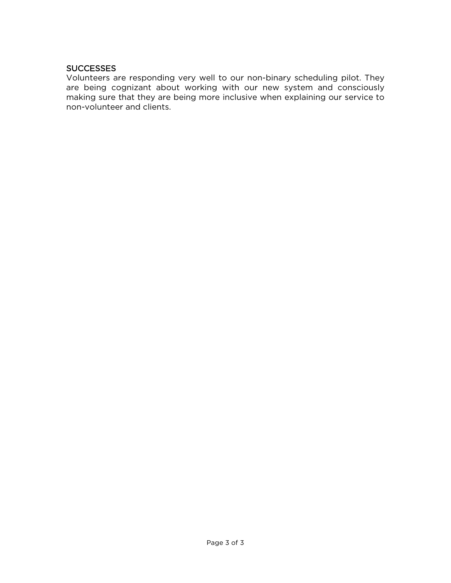### **SUCCESSES**

Volunteers are responding very well to our non-binary scheduling pilot. They are being cognizant about working with our new system and consciously making sure that they are being more inclusive when explaining our service to non-volunteer and clients.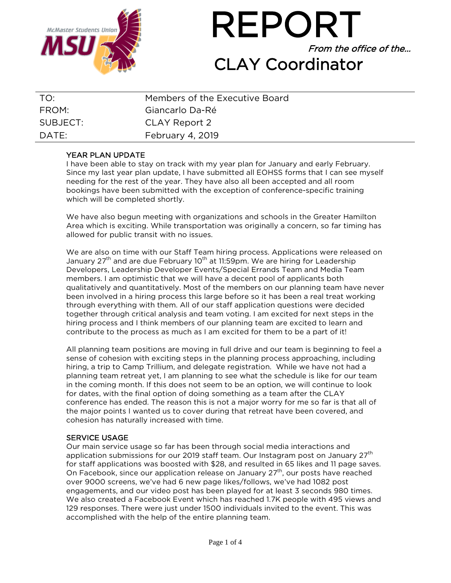

REPORT From the office of the… CLAY Coordinator

| TO:      | Members of the Executive Board |
|----------|--------------------------------|
| FROM:    | Giancarlo Da-Ré                |
| SUBJECT: | CLAY Report 2                  |
| DATE:    | February 4, 2019               |

### YEAR PLAN UPDATE

I have been able to stay on track with my year plan for January and early February. Since my last year plan update, I have submitted all EOHSS forms that I can see myself needing for the rest of the year. They have also all been accepted and all room bookings have been submitted with the exception of conference-specific training which will be completed shortly.

We have also begun meeting with organizations and schools in the Greater Hamilton Area which is exciting. While transportation was originally a concern, so far timing has allowed for public transit with no issues.

We are also on time with our Staff Team hiring process. Applications were released on January 27<sup>th</sup> and are due February 10<sup>th</sup> at 11:59pm. We are hiring for Leadership Developers, Leadership Developer Events/Special Errands Team and Media Team members. I am optimistic that we will have a decent pool of applicants both qualitatively and quantitatively. Most of the members on our planning team have never been involved in a hiring process this large before so it has been a real treat working through everything with them. All of our staff application questions were decided together through critical analysis and team voting. I am excited for next steps in the hiring process and I think members of our planning team are excited to learn and contribute to the process as much as I am excited for them to be a part of it!

All planning team positions are moving in full drive and our team is beginning to feel a sense of cohesion with exciting steps in the planning process approaching, including hiring, a trip to Camp Trillium, and delegate registration. While we have not had a planning team retreat yet, I am planning to see what the schedule is like for our team in the coming month. If this does not seem to be an option, we will continue to look for dates, with the final option of doing something as a team after the CLAY conference has ended. The reason this is not a major worry for me so far is that all of the major points I wanted us to cover during that retreat have been covered, and cohesion has naturally increased with time.

### SERVICE USAGE

Our main service usage so far has been through social media interactions and application submissions for our 2019 staff team. Our Instagram post on January 27<sup>th</sup> for staff applications was boosted with \$28, and resulted in 65 likes and 11 page saves. On Facebook, since our application release on January  $27<sup>th</sup>$ , our posts have reached over 9000 screens, we've had 6 new page likes/follows, we've had 1082 post engagements, and our video post has been played for at least 3 seconds 980 times. We also created a Facebook Event which has reached 1.7K people with 495 views and 129 responses. There were just under 1500 individuals invited to the event. This was accomplished with the help of the entire planning team.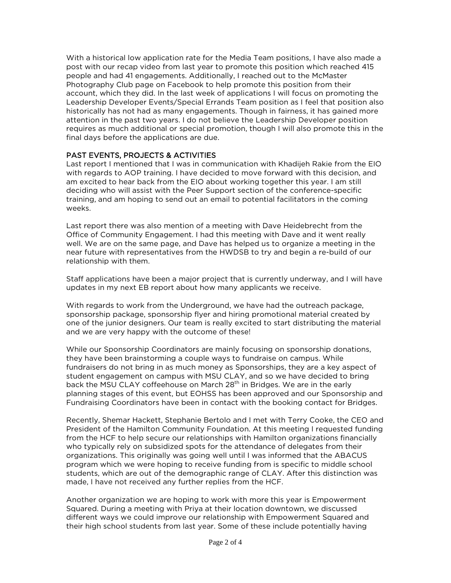With a historical low application rate for the Media Team positions, I have also made a post with our recap video from last year to promote this position which reached 415 people and had 41 engagements. Additionally, I reached out to the McMaster Photography Club page on Facebook to help promote this position from their account, which they did. In the last week of applications I will focus on promoting the Leadership Developer Events/Special Errands Team position as I feel that position also historically has not had as many engagements. Though in fairness, it has gained more attention in the past two years. I do not believe the Leadership Developer position requires as much additional or special promotion, though I will also promote this in the final days before the applications are due.

## PAST EVENTS, PROJECTS & ACTIVITIES

Last report I mentioned that I was in communication with Khadijeh Rakie from the EIO with regards to AOP training. I have decided to move forward with this decision, and am excited to hear back from the EIO about working together this year. I am still deciding who will assist with the Peer Support section of the conference-specific training, and am hoping to send out an email to potential facilitators in the coming weeks.

Last report there was also mention of a meeting with Dave Heidebrecht from the Office of Community Engagement. I had this meeting with Dave and it went really well. We are on the same page, and Dave has helped us to organize a meeting in the near future with representatives from the HWDSB to try and begin a re-build of our relationship with them.

Staff applications have been a major project that is currently underway, and I will have updates in my next EB report about how many applicants we receive.

With regards to work from the Underground, we have had the outreach package, sponsorship package, sponsorship flyer and hiring promotional material created by one of the junior designers. Our team is really excited to start distributing the material and we are very happy with the outcome of these!

While our Sponsorship Coordinators are mainly focusing on sponsorship donations, they have been brainstorming a couple ways to fundraise on campus. While fundraisers do not bring in as much money as Sponsorships, they are a key aspect of student engagement on campus with MSU CLAY, and so we have decided to bring back the MSU CLAY coffeehouse on March 28<sup>th</sup> in Bridges. We are in the early planning stages of this event, but EOHSS has been approved and our Sponsorship and Fundraising Coordinators have been in contact with the booking contact for Bridges.

Recently, Shemar Hackett, Stephanie Bertolo and I met with Terry Cooke, the CEO and President of the Hamilton Community Foundation. At this meeting I requested funding from the HCF to help secure our relationships with Hamilton organizations financially who typically rely on subsidized spots for the attendance of delegates from their organizations. This originally was going well until I was informed that the ABACUS program which we were hoping to receive funding from is specific to middle school students, which are out of the demographic range of CLAY. After this distinction was made, I have not received any further replies from the HCF.

Another organization we are hoping to work with more this year is Empowerment Squared. During a meeting with Priya at their location downtown, we discussed different ways we could improve our relationship with Empowerment Squared and their high school students from last year. Some of these include potentially having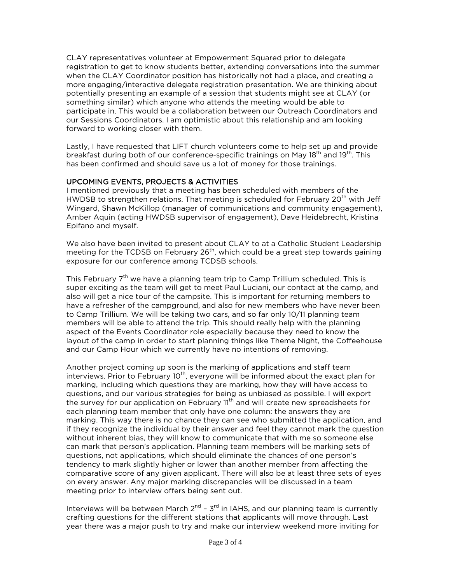CLAY representatives volunteer at Empowerment Squared prior to delegate registration to get to know students better, extending conversations into the summer when the CLAY Coordinator position has historically not had a place, and creating a more engaging/interactive delegate registration presentation. We are thinking about potentially presenting an example of a session that students might see at CLAY (or something similar) which anyone who attends the meeting would be able to participate in. This would be a collaboration between our Outreach Coordinators and our Sessions Coordinators. I am optimistic about this relationship and am looking forward to working closer with them.

Lastly, I have requested that LIFT church volunteers come to help set up and provide breakfast during both of our conference-specific trainings on May 18<sup>th</sup> and 19<sup>th</sup>. This has been confirmed and should save us a lot of money for those trainings.

### UPCOMING EVENTS, PROJECTS & ACTIVITIES

I mentioned previously that a meeting has been scheduled with members of the HWDSB to strengthen relations. That meeting is scheduled for February  $20<sup>th</sup>$  with Jeff Wingard, Shawn McKillop (manager of communications and community engagement), Amber Aquin (acting HWDSB supervisor of engagement), Dave Heidebrecht, Kristina Epifano and myself.

We also have been invited to present about CLAY to at a Catholic Student Leadership meeting for the TCDSB on February  $26<sup>th</sup>$ , which could be a great step towards gaining exposure for our conference among TCDSB schools.

This February  $7<sup>th</sup>$  we have a planning team trip to Camp Trillium scheduled. This is super exciting as the team will get to meet Paul Luciani, our contact at the camp, and also will get a nice tour of the campsite. This is important for returning members to have a refresher of the campground, and also for new members who have never been to Camp Trillium. We will be taking two cars, and so far only 10/11 planning team members will be able to attend the trip. This should really help with the planning aspect of the Events Coordinator role especially because they need to know the layout of the camp in order to start planning things like Theme Night, the Coffeehouse and our Camp Hour which we currently have no intentions of removing.

Another project coming up soon is the marking of applications and staff team interviews. Prior to February  $10<sup>th</sup>$ , everyone will be informed about the exact plan for marking, including which questions they are marking, how they will have access to questions, and our various strategies for being as unbiased as possible. I will export the survey for our application on February 11<sup>th</sup> and will create new spreadsheets for each planning team member that only have one column: the answers they are marking. This way there is no chance they can see who submitted the application, and if they recognize the individual by their answer and feel they cannot mark the question without inherent bias, they will know to communicate that with me so someone else can mark that person's application. Planning team members will be marking sets of questions, not applications, which should eliminate the chances of one person's tendency to mark slightly higher or lower than another member from affecting the comparative score of any given applicant. There will also be at least three sets of eyes on every answer. Any major marking discrepancies will be discussed in a team meeting prior to interview offers being sent out.

Interviews will be between March  $2^{nd}$  –  $3^{rd}$  in IAHS, and our planning team is currently crafting questions for the different stations that applicants will move through. Last year there was a major push to try and make our interview weekend more inviting for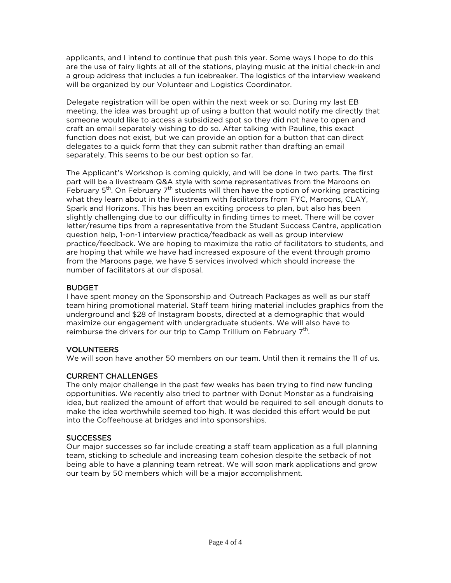applicants, and I intend to continue that push this year. Some ways I hope to do this are the use of fairy lights at all of the stations, playing music at the initial check-in and a group address that includes a fun icebreaker. The logistics of the interview weekend will be organized by our Volunteer and Logistics Coordinator.

Delegate registration will be open within the next week or so. During my last EB meeting, the idea was brought up of using a button that would notify me directly that someone would like to access a subsidized spot so they did not have to open and craft an email separately wishing to do so. After talking with Pauline, this exact function does not exist, but we can provide an option for a button that can direct delegates to a quick form that they can submit rather than drafting an email separately. This seems to be our best option so far.

The Applicant's Workshop is coming quickly, and will be done in two parts. The first part will be a livestream Q&A style with some representatives from the Maroons on February  $5<sup>th</sup>$ . On February  $7<sup>th</sup>$  students will then have the option of working practicing what they learn about in the livestream with facilitators from FYC, Maroons, CLAY, Spark and Horizons. This has been an exciting process to plan, but also has been slightly challenging due to our difficulty in finding times to meet. There will be cover letter/resume tips from a representative from the Student Success Centre, application question help, 1-on-1 interview practice/feedback as well as group interview practice/feedback. We are hoping to maximize the ratio of facilitators to students, and are hoping that while we have had increased exposure of the event through promo from the Maroons page, we have 5 services involved which should increase the number of facilitators at our disposal.

### BUDGET

I have spent money on the Sponsorship and Outreach Packages as well as our staff team hiring promotional material. Staff team hiring material includes graphics from the underground and \$28 of Instagram boosts, directed at a demographic that would maximize our engagement with undergraduate students. We will also have to reimburse the drivers for our trip to Camp Trillium on February  $7<sup>th</sup>$ .

### VOLUNTEERS

We will soon have another 50 members on our team. Until then it remains the 11 of us.

### CURRENT CHALLENGES

The only major challenge in the past few weeks has been trying to find new funding opportunities. We recently also tried to partner with Donut Monster as a fundraising idea, but realized the amount of effort that would be required to sell enough donuts to make the idea worthwhile seemed too high. It was decided this effort would be put into the Coffeehouse at bridges and into sponsorships.

### **SUCCESSES**

Our major successes so far include creating a staff team application as a full planning team, sticking to schedule and increasing team cohesion despite the setback of not being able to have a planning team retreat. We will soon mark applications and grow our team by 50 members which will be a major accomplishment.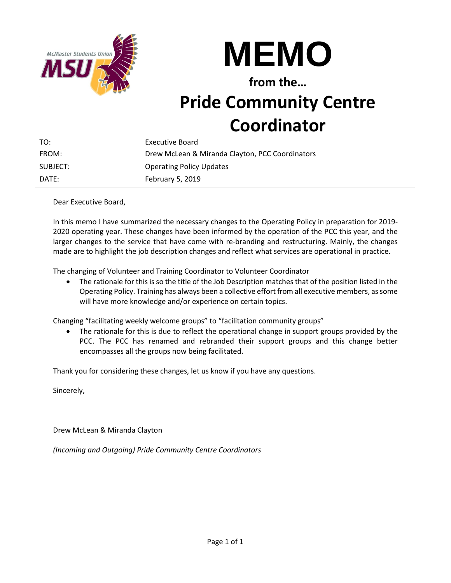



**from the…**

# **Pride Community Centre Coordinator**

| TO:      | Executive Board                                 |
|----------|-------------------------------------------------|
| FROM:    | Drew McLean & Miranda Clayton, PCC Coordinators |
| SUBJECT: | <b>Operating Policy Updates</b>                 |
| DATF:    | February 5, 2019                                |

Dear Executive Board,

In this memo I have summarized the necessary changes to the Operating Policy in preparation for 2019- 2020 operating year. These changes have been informed by the operation of the PCC this year, and the larger changes to the service that have come with re-branding and restructuring. Mainly, the changes made are to highlight the job description changes and reflect what services are operational in practice.

The changing of Volunteer and Training Coordinator to Volunteer Coordinator

• The rationale for this is so the title of the Job Description matches that of the position listed in the Operating Policy. Training has always been a collective effort from all executive members, as some will have more knowledge and/or experience on certain topics.

Changing "facilitating weekly welcome groups" to "facilitation community groups"

• The rationale for this is due to reflect the operational change in support groups provided by the PCC. The PCC has renamed and rebranded their support groups and this change better encompasses all the groups now being facilitated.

Thank you for considering these changes, let us know if you have any questions.

Sincerely,

Drew McLean & Miranda Clayton

*(Incoming and Outgoing) Pride Community Centre Coordinators*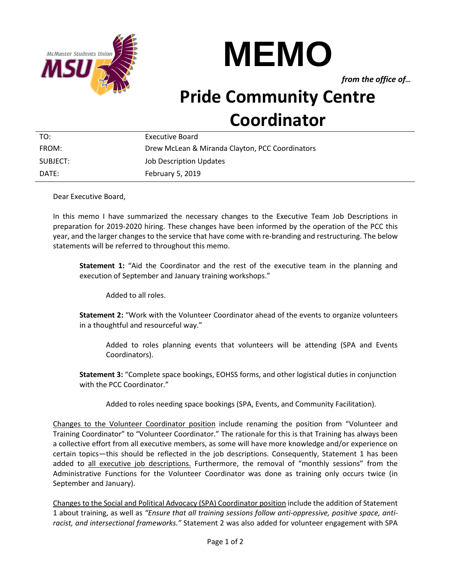



*from the office of…*

# **Pride Community Centre Coordinator**

| TO:      | Executive Board                                 |
|----------|-------------------------------------------------|
| FROM:    | Drew McLean & Miranda Clayton, PCC Coordinators |
| SUBJECT: | <b>Job Description Updates</b>                  |
| DATF:    | February 5, 2019                                |

Dear Executive Board,

In this memo I have summarized the necessary changes to the Executive Team Job Descriptions in preparation for 2019-2020 hiring. These changes have been informed by the operation of the PCC this year, and the larger changes to the service that have come with re-branding and restructuring. The below statements will be referred to throughout this memo.

**Statement 1:** "Aid the Coordinator and the rest of the executive team in the planning and execution of September and January training workshops."

Added to all roles.

**Statement 2:** "Work with the Volunteer Coordinator ahead of the events to organize volunteers in a thoughtful and resourceful way."

Added to roles planning events that volunteers will be attending (SPA and Events Coordinators).

**Statement 3:** "Complete space bookings, EOHSS forms, and other logistical duties in conjunction with the PCC Coordinator."

Added to roles needing space bookings (SPA, Events, and Community Facilitation).

Changes to the Volunteer Coordinator position include renaming the position from "Volunteer and Training Coordinator" to "Volunteer Coordinator." The rationale for this is that Training has always been a collective effort from all executive members, as some will have more knowledge and/or experience on certain topics—this should be reflected in the job descriptions. Consequently, Statement 1 has been added to all executive job descriptions. Furthermore, the removal of "monthly sessions" from the Administrative Functions for the Volunteer Coordinator was done as training only occurs twice (in September and January).

Changes to the Social and Political Advocacy (SPA) Coordinator position include the addition of Statement 1 about training, as well as *"Ensure that all training sessions follow anti-oppressive, positive space, antiracist, and intersectional frameworks."* Statement 2 was also added for volunteer engagement with SPA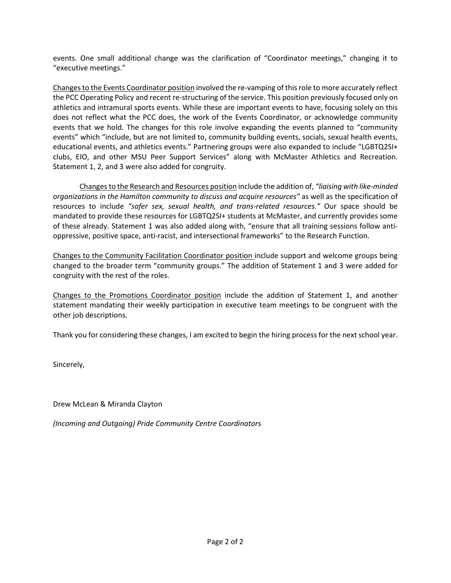events. One small additional change was the clarification of "Coordinator meetings," changing it to "executive meetings."

Changes to the Events Coordinator position involved the re-vamping of this role to more accurately reflect the PCC Operating Policy and recent re-structuring of the service. This position previously focused only on athletics and intramural sports events. While these are important events to have, focusing solely on this does not reflect what the PCC does, the work of the Events Coordinator, or acknowledge community events that we hold. The changes for this role involve expanding the events planned to "community events" which "include, but are not limited to, community building events, socials, sexual health events, educational events, and athletics events." Partnering groups were also expanded to include "LGBTQ2SI+ clubs, EIO, and other MSU Peer Support Services" along with McMaster Athletics and Recreation. Statement 1, 2, and 3 were also added for congruity.

Changes to the Research and Resources position include the addition of, *"liaising with like-minded organizations in the Hamilton community to discuss and acquire resources"* as well as the specification of resources to include *"safer sex, sexual health, and trans-related resources."* Our space should be mandated to provide these resources for LGBTQ2SI+ students at McMaster, and currently provides some of these already. Statement 1 was also added along with, "ensure that all training sessions follow antioppressive, positive space, anti-racist, and intersectional frameworks" to the Research Function.

Changes to the Community Facilitation Coordinator position include support and welcome groups being changed to the broader term "community groups." The addition of Statement 1 and 3 were added for congruity with the rest of the roles.

Changes to the Promotions Coordinator position include the addition of Statement 1, and another statement mandating their weekly participation in executive team meetings to be congruent with the other job descriptions.

Thank you for considering these changes, I am excited to begin the hiring process for the next school year.

Sincerely,

Drew McLean & Miranda Clayton

*(Incoming and Outgoing) Pride Community Centre Coordinators*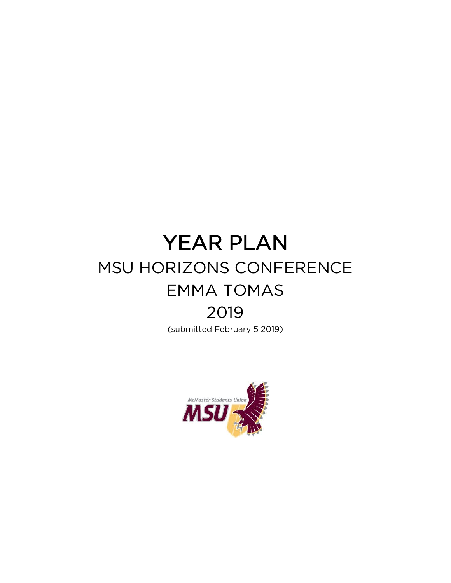# YEAR PLAN MSU HORIZONS CONFERENCE EMMA TOMAS 2019

(submitted February 5 2019)

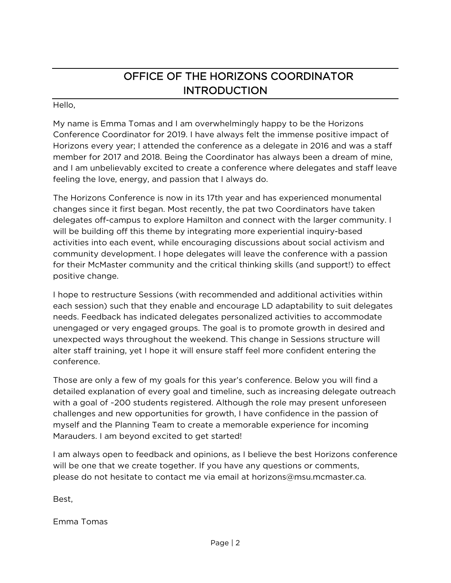# OFFICE OF THE HORIZONS COORDINATOR **INTRODUCTION**

# Hello,

My name is Emma Tomas and I am overwhelmingly happy to be the Horizons Conference Coordinator for 2019. I have always felt the immense positive impact of Horizons every year; I attended the conference as a delegate in 2016 and was a staff member for 2017 and 2018. Being the Coordinator has always been a dream of mine, and I am unbelievably excited to create a conference where delegates and staff leave feeling the love, energy, and passion that I always do.

The Horizons Conference is now in its 17th year and has experienced monumental changes since it first began. Most recently, the pat two Coordinators have taken delegates off-campus to explore Hamilton and connect with the larger community. I will be building off this theme by integrating more experiential inquiry-based activities into each event, while encouraging discussions about social activism and community development. I hope delegates will leave the conference with a passion for their McMaster community and the critical thinking skills (and support!) to effect positive change.

I hope to restructure Sessions (with recommended and additional activities within each session) such that they enable and encourage LD adaptability to suit delegates needs. Feedback has indicated delegates personalized activities to accommodate unengaged or very engaged groups. The goal is to promote growth in desired and unexpected ways throughout the weekend. This change in Sessions structure will alter staff training, yet I hope it will ensure staff feel more confident entering the conference.

Those are only a few of my goals for this year's conference. Below you will find a detailed explanation of every goal and timeline, such as increasing delegate outreach with a goal of ~200 students registered. Although the role may present unforeseen challenges and new opportunities for growth, I have confidence in the passion of myself and the Planning Team to create a memorable experience for incoming Marauders. I am beyond excited to get started!

I am always open to feedback and opinions, as I believe the best Horizons conference will be one that we create together. If you have any questions or comments, please do not hesitate to contact me via email at [horizons@msu.mcmaster.ca.](mailto:horizons@msu.mcmaster.ca)

Best,

Emma Tomas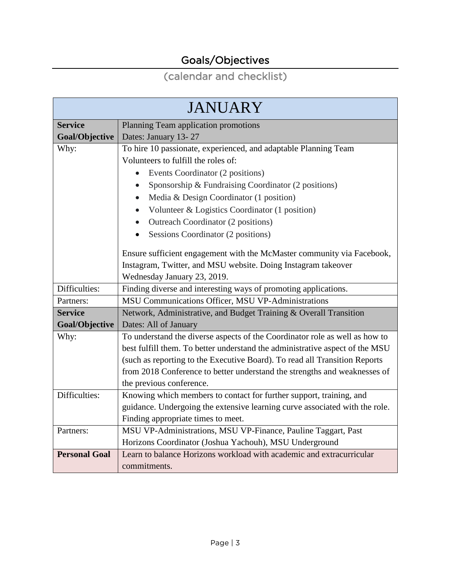# Goals/Objectives

# (calendar and checklist)

| <b>JANUARY</b>       |                                                                              |  |
|----------------------|------------------------------------------------------------------------------|--|
| <b>Service</b>       | Planning Team application promotions                                         |  |
| Goal/Objective       | Dates: January 13-27                                                         |  |
| Why:                 | To hire 10 passionate, experienced, and adaptable Planning Team              |  |
|                      | Volunteers to fulfill the roles of:                                          |  |
|                      | Events Coordinator (2 positions)                                             |  |
|                      | Sponsorship & Fundraising Coordinator (2 positions)<br>$\bullet$             |  |
|                      | Media & Design Coordinator (1 position)                                      |  |
|                      | Volunteer & Logistics Coordinator (1 position)<br>$\bullet$                  |  |
|                      | Outreach Coordinator (2 positions)                                           |  |
|                      | Sessions Coordinator (2 positions)                                           |  |
|                      | Ensure sufficient engagement with the McMaster community via Facebook,       |  |
|                      | Instagram, Twitter, and MSU website. Doing Instagram takeover                |  |
|                      | Wednesday January 23, 2019.                                                  |  |
| Difficulties:        | Finding diverse and interesting ways of promoting applications.              |  |
| Partners:            | MSU Communications Officer, MSU VP-Administrations                           |  |
| <b>Service</b>       | Network, Administrative, and Budget Training & Overall Transition            |  |
| Goal/Objective       | Dates: All of January                                                        |  |
| Why:                 | To understand the diverse aspects of the Coordinator role as well as how to  |  |
|                      | best fulfill them. To better understand the administrative aspect of the MSU |  |
|                      | (such as reporting to the Executive Board). To read all Transition Reports   |  |
|                      | from 2018 Conference to better understand the strengths and weaknesses of    |  |
|                      | the previous conference.                                                     |  |
| Difficulties:        | Knowing which members to contact for further support, training, and          |  |
|                      | guidance. Undergoing the extensive learning curve associated with the role.  |  |
|                      | Finding appropriate times to meet.                                           |  |
| Partners:            | MSU VP-Administrations, MSU VP-Finance, Pauline Taggart, Past                |  |
|                      | Horizons Coordinator (Joshua Yachouh), MSU Underground                       |  |
| <b>Personal Goal</b> | Learn to balance Horizons workload with academic and extracurricular         |  |
|                      | commitments.                                                                 |  |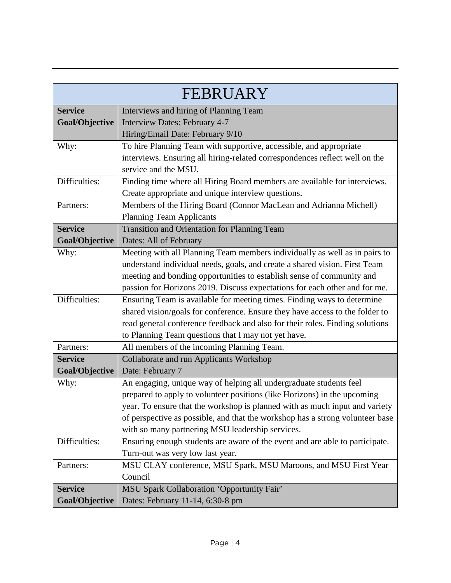|                | FEBRUARY                                                                      |
|----------------|-------------------------------------------------------------------------------|
| <b>Service</b> | Interviews and hiring of Planning Team                                        |
| Goal/Objective | Interview Dates: February 4-7                                                 |
|                | Hiring/Email Date: February 9/10                                              |
| Why:           | To hire Planning Team with supportive, accessible, and appropriate            |
|                | interviews. Ensuring all hiring-related correspondences reflect well on the   |
|                | service and the MSU.                                                          |
| Difficulties:  | Finding time where all Hiring Board members are available for interviews.     |
|                | Create appropriate and unique interview questions.                            |
| Partners:      | Members of the Hiring Board (Connor MacLean and Adrianna Michell)             |
|                | <b>Planning Team Applicants</b>                                               |
| <b>Service</b> | Transition and Orientation for Planning Team                                  |
| Goal/Objective | Dates: All of February                                                        |
| Why:           | Meeting with all Planning Team members individually as well as in pairs to    |
|                | understand individual needs, goals, and create a shared vision. First Team    |
|                | meeting and bonding opportunities to establish sense of community and         |
|                | passion for Horizons 2019. Discuss expectations for each other and for me.    |
| Difficulties:  | Ensuring Team is available for meeting times. Finding ways to determine       |
|                | shared vision/goals for conference. Ensure they have access to the folder to  |
|                | read general conference feedback and also for their roles. Finding solutions  |
|                | to Planning Team questions that I may not yet have.                           |
| Partners:      | All members of the incoming Planning Team.                                    |
| <b>Service</b> | Collaborate and run Applicants Workshop                                       |
| Goal/Objective | Date: February 7                                                              |
| Why:           | An engaging, unique way of helping all undergraduate students feel            |
|                | prepared to apply to volunteer positions (like Horizons) in the upcoming      |
|                | year. To ensure that the workshop is planned with as much input and variety   |
|                | of perspective as possible, and that the workshop has a strong volunteer base |
|                | with so many partnering MSU leadership services.                              |
| Difficulties:  | Ensuring enough students are aware of the event and are able to participate.  |
|                | Turn-out was very low last year.                                              |
| Partners:      | MSU CLAY conference, MSU Spark, MSU Maroons, and MSU First Year               |
|                | Council                                                                       |
| <b>Service</b> | MSU Spark Collaboration 'Opportunity Fair'                                    |
| Goal/Objective | Dates: February 11-14, 6:30-8 pm                                              |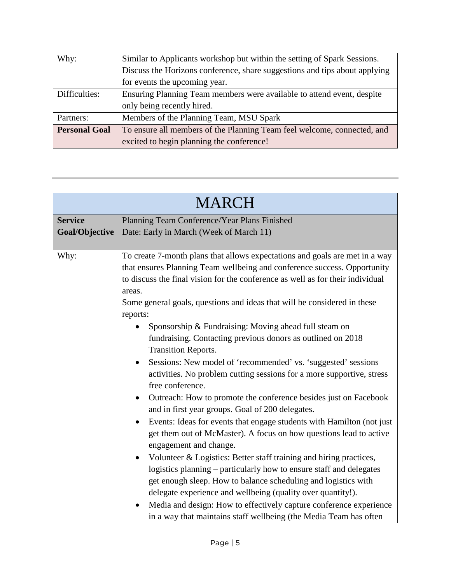| Why:                 | Similar to Applicants workshop but within the setting of Spark Sessions.   |
|----------------------|----------------------------------------------------------------------------|
|                      | Discuss the Horizons conference, share suggestions and tips about applying |
|                      | for events the upcoming year.                                              |
| Difficulties:        | Ensuring Planning Team members were available to attend event, despite     |
|                      | only being recently hired.                                                 |
| Partners:            | Members of the Planning Team, MSU Spark                                    |
| <b>Personal Goal</b> | To ensure all members of the Planning Team feel welcome, connected, and    |
|                      | excited to begin planning the conference!                                  |

| <b>MARCH</b>   |                                                                                |
|----------------|--------------------------------------------------------------------------------|
| <b>Service</b> | Planning Team Conference/Year Plans Finished                                   |
| Goal/Objective | Date: Early in March (Week of March 11)                                        |
|                |                                                                                |
| Why:           | To create 7-month plans that allows expectations and goals are met in a way    |
|                | that ensures Planning Team wellbeing and conference success. Opportunity       |
|                | to discuss the final vision for the conference as well as for their individual |
|                | areas.                                                                         |
|                | Some general goals, questions and ideas that will be considered in these       |
|                | reports:                                                                       |
|                | Sponsorship & Fundraising: Moving ahead full steam on                          |
|                | fundraising. Contacting previous donors as outlined on 2018                    |
|                | <b>Transition Reports.</b>                                                     |
|                | Sessions: New model of 'recommended' vs. 'suggested' sessions<br>$\bullet$     |
|                | activities. No problem cutting sessions for a more supportive, stress          |
|                | free conference.                                                               |
|                | Outreach: How to promote the conference besides just on Facebook<br>$\bullet$  |
|                | and in first year groups. Goal of 200 delegates.                               |
|                | Events: Ideas for events that engage students with Hamilton (not just          |
|                | get them out of McMaster). A focus on how questions lead to active             |
|                | engagement and change.                                                         |
|                | Volunteer & Logistics: Better staff training and hiring practices,             |
|                | logistics planning – particularly how to ensure staff and delegates            |
|                | get enough sleep. How to balance scheduling and logistics with                 |
|                | delegate experience and wellbeing (quality over quantity!).                    |
|                | Media and design: How to effectively capture conference experience             |
|                | in a way that maintains staff wellbeing (the Media Team has often              |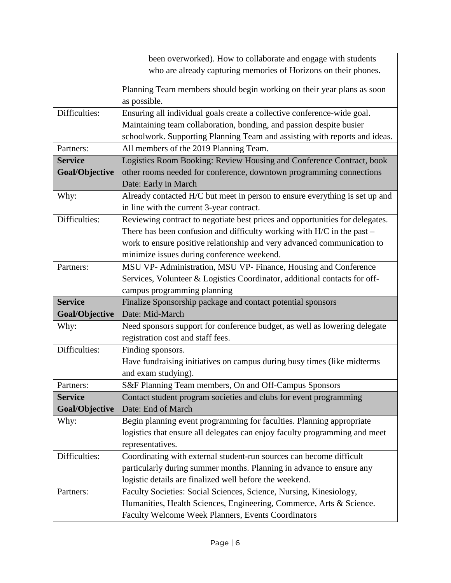|                | been overworked). How to collaborate and engage with students                                                             |
|----------------|---------------------------------------------------------------------------------------------------------------------------|
|                | who are already capturing memories of Horizons on their phones.                                                           |
|                |                                                                                                                           |
|                | Planning Team members should begin working on their year plans as soon                                                    |
|                | as possible.                                                                                                              |
| Difficulties:  | Ensuring all individual goals create a collective conference-wide goal.                                                   |
|                | Maintaining team collaboration, bonding, and passion despite busier                                                       |
|                | schoolwork. Supporting Planning Team and assisting with reports and ideas.                                                |
| Partners:      | All members of the 2019 Planning Team.                                                                                    |
| <b>Service</b> | Logistics Room Booking: Review Housing and Conference Contract, book                                                      |
| Goal/Objective | other rooms needed for conference, downtown programming connections                                                       |
|                | Date: Early in March                                                                                                      |
| Why:           | Already contacted H/C but meet in person to ensure everything is set up and                                               |
|                | in line with the current 3-year contract.                                                                                 |
| Difficulties:  | Reviewing contract to negotiate best prices and opportunities for delegates.                                              |
|                | There has been confusion and difficulty working with $H/C$ in the past –                                                  |
|                | work to ensure positive relationship and very advanced communication to                                                   |
|                | minimize issues during conference weekend.                                                                                |
| Partners:      | MSU VP- Administration, MSU VP- Finance, Housing and Conference                                                           |
|                | Services, Volunteer & Logistics Coordinator, additional contacts for off-                                                 |
|                | campus programming planning                                                                                               |
| <b>Service</b> | Finalize Sponsorship package and contact potential sponsors                                                               |
| Goal/Objective | Date: Mid-March                                                                                                           |
| Why:           | Need sponsors support for conference budget, as well as lowering delegate                                                 |
|                | registration cost and staff fees.                                                                                         |
| Difficulties:  | Finding sponsors.                                                                                                         |
|                | Have fundraising initiatives on campus during busy times (like midterms                                                   |
|                | and exam studying).                                                                                                       |
|                |                                                                                                                           |
|                |                                                                                                                           |
| Partners:      | S&F Planning Team members, On and Off-Campus Sponsors                                                                     |
| <b>Service</b> | Contact student program societies and clubs for event programming                                                         |
| Goal/Objective | Date: End of March                                                                                                        |
| Why:           | Begin planning event programming for faculties. Planning appropriate                                                      |
|                | logistics that ensure all delegates can enjoy faculty programming and meet                                                |
|                | representatives.                                                                                                          |
| Difficulties:  | Coordinating with external student-run sources can become difficult                                                       |
|                | particularly during summer months. Planning in advance to ensure any                                                      |
|                | logistic details are finalized well before the weekend.                                                                   |
| Partners:      | Faculty Societies: Social Sciences, Science, Nursing, Kinesiology,                                                        |
|                | Humanities, Health Sciences, Engineering, Commerce, Arts & Science.<br>Faculty Welcome Week Planners, Events Coordinators |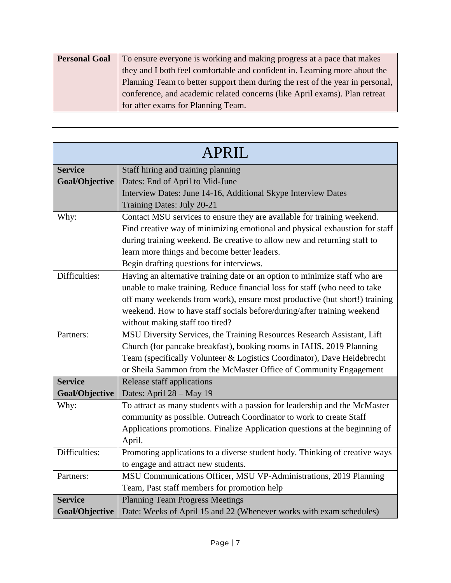| <b>Personal Goal</b> | To ensure everyone is working and making progress at a pace that makes        |
|----------------------|-------------------------------------------------------------------------------|
|                      | they and I both feel comfortable and confident in. Learning more about the    |
|                      | Planning Team to better support them during the rest of the year in personal, |
|                      | conference, and academic related concerns (like April exams). Plan retreat    |
|                      | for after exams for Planning Team.                                            |

| <b>APRIL</b>   |                                                                             |
|----------------|-----------------------------------------------------------------------------|
| <b>Service</b> | Staff hiring and training planning                                          |
| Goal/Objective | Dates: End of April to Mid-June                                             |
|                | Interview Dates: June 14-16, Additional Skype Interview Dates               |
|                | Training Dates: July 20-21                                                  |
| Why:           | Contact MSU services to ensure they are available for training weekend.     |
|                | Find creative way of minimizing emotional and physical exhaustion for staff |
|                | during training weekend. Be creative to allow new and returning staff to    |
|                | learn more things and become better leaders.                                |
|                | Begin drafting questions for interviews.                                    |
| Difficulties:  | Having an alternative training date or an option to minimize staff who are  |
|                | unable to make training. Reduce financial loss for staff (who need to take  |
|                | off many weekends from work), ensure most productive (but short!) training  |
|                | weekend. How to have staff socials before/during/after training weekend     |
|                | without making staff too tired?                                             |
| Partners:      | MSU Diversity Services, the Training Resources Research Assistant, Lift     |
|                | Church (for pancake breakfast), booking rooms in IAHS, 2019 Planning        |
|                | Team (specifically Volunteer & Logistics Coordinator), Dave Heidebrecht     |
|                | or Sheila Sammon from the McMaster Office of Community Engagement           |
| <b>Service</b> | Release staff applications                                                  |
| Goal/Objective | Dates: April 28 - May 19                                                    |
| Why:           | To attract as many students with a passion for leadership and the McMaster  |
|                | community as possible. Outreach Coordinator to work to create Staff         |
|                | Applications promotions. Finalize Application questions at the beginning of |
|                | April.                                                                      |
| Difficulties:  | Promoting applications to a diverse student body. Thinking of creative ways |
|                | to engage and attract new students.                                         |
| Partners:      | MSU Communications Officer, MSU VP-Administrations, 2019 Planning           |
|                | Team, Past staff members for promotion help                                 |
| <b>Service</b> | <b>Planning Team Progress Meetings</b>                                      |
| Goal/Objective | Date: Weeks of April 15 and 22 (Whenever works with exam schedules)         |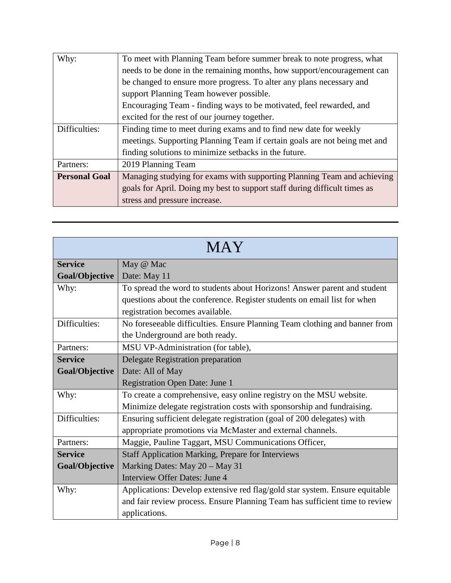| Why:                 | To meet with Planning Team before summer break to note progress, what     |
|----------------------|---------------------------------------------------------------------------|
|                      | needs to be done in the remaining months, how support/encouragement can   |
|                      | be changed to ensure more progress. To alter any plans necessary and      |
|                      | support Planning Team however possible.                                   |
|                      | Encouraging Team - finding ways to be motivated, feel rewarded, and       |
|                      | excited for the rest of our journey together.                             |
| Difficulties:        | Finding time to meet during exams and to find new date for weekly         |
|                      | meetings. Supporting Planning Team if certain goals are not being met and |
|                      | finding solutions to minimize setbacks in the future.                     |
| Partners:            | 2019 Planning Team                                                        |
| <b>Personal Goal</b> | Managing studying for exams with supporting Planning Team and achieving   |
|                      | goals for April. Doing my best to support staff during difficult times as |
|                      | stress and pressure increase.                                             |

| MAY            |                                                                             |
|----------------|-----------------------------------------------------------------------------|
| <b>Service</b> | May @ Mac                                                                   |
| Goal/Objective | Date: May 11                                                                |
| Why:           | To spread the word to students about Horizons! Answer parent and student    |
|                | questions about the conference. Register students on email list for when    |
|                | registration becomes available.                                             |
| Difficulties:  | No foreseeable difficulties. Ensure Planning Team clothing and banner from  |
|                | the Underground are both ready.                                             |
| Partners:      | MSU VP-Administration (for table),                                          |
| <b>Service</b> | Delegate Registration preparation                                           |
| Goal/Objective | Date: All of May                                                            |
|                | <b>Registration Open Date: June 1</b>                                       |
| Why:           | To create a comprehensive, easy online registry on the MSU website.         |
|                | Minimize delegate registration costs with sponsorship and fundraising.      |
| Difficulties:  | Ensuring sufficient delegate registration (goal of 200 delegates) with      |
|                | appropriate promotions via McMaster and external channels.                  |
| Partners:      | Maggie, Pauline Taggart, MSU Communications Officer,                        |
| <b>Service</b> | <b>Staff Application Marking, Prepare for Interviews</b>                    |
| Goal/Objective | Marking Dates: May 20 - May 31                                              |
|                | Interview Offer Dates: June 4                                               |
| Why:           | Applications: Develop extensive red flag/gold star system. Ensure equitable |
|                | and fair review process. Ensure Planning Team has sufficient time to review |
|                | applications.                                                               |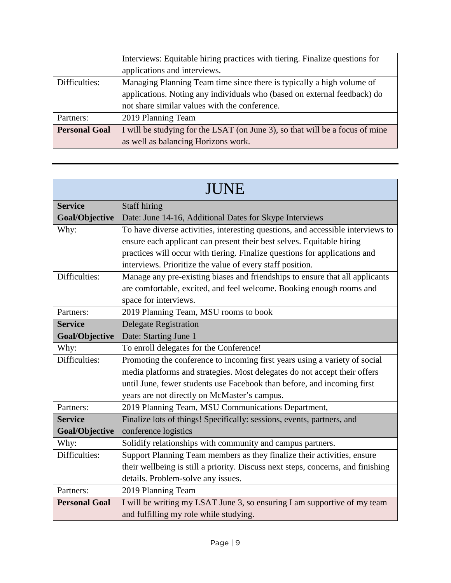|                      | Interviews: Equitable hiring practices with tiering. Finalize questions for<br>applications and interviews.                                                                                        |
|----------------------|----------------------------------------------------------------------------------------------------------------------------------------------------------------------------------------------------|
| Difficulties:        | Managing Planning Team time since there is typically a high volume of<br>applications. Noting any individuals who (based on external feedback) do<br>not share similar values with the conference. |
| Partners:            | 2019 Planning Team                                                                                                                                                                                 |
| <b>Personal Goal</b> | I will be studying for the LSAT (on June 3), so that will be a focus of mine<br>as well as balancing Horizons work.                                                                                |

| <b>JUNE</b>           |                                                                                  |
|-----------------------|----------------------------------------------------------------------------------|
| <b>Service</b>        | <b>Staff hiring</b>                                                              |
| <b>Goal/Objective</b> | Date: June 14-16, Additional Dates for Skype Interviews                          |
| Why:                  | To have diverse activities, interesting questions, and accessible interviews to  |
|                       | ensure each applicant can present their best selves. Equitable hiring            |
|                       | practices will occur with tiering. Finalize questions for applications and       |
|                       | interviews. Prioritize the value of every staff position.                        |
| Difficulties:         | Manage any pre-existing biases and friendships to ensure that all applicants     |
|                       | are comfortable, excited, and feel welcome. Booking enough rooms and             |
|                       | space for interviews.                                                            |
| Partners:             | 2019 Planning Team, MSU rooms to book                                            |
| <b>Service</b>        | <b>Delegate Registration</b>                                                     |
| Goal/Objective        | Date: Starting June 1                                                            |
| Why:                  | To enroll delegates for the Conference!                                          |
| Difficulties:         | Promoting the conference to incoming first years using a variety of social       |
|                       | media platforms and strategies. Most delegates do not accept their offers        |
|                       | until June, fewer students use Facebook than before, and incoming first          |
|                       | years are not directly on McMaster's campus.                                     |
| Partners:             | 2019 Planning Team, MSU Communications Department,                               |
| <b>Service</b>        | Finalize lots of things! Specifically: sessions, events, partners, and           |
| Goal/Objective        | conference logistics                                                             |
| Why:                  | Solidify relationships with community and campus partners.                       |
| Difficulties:         | Support Planning Team members as they finalize their activities, ensure          |
|                       | their wellbeing is still a priority. Discuss next steps, concerns, and finishing |
|                       | details. Problem-solve any issues.                                               |
| Partners:             | 2019 Planning Team                                                               |
| <b>Personal Goal</b>  | I will be writing my LSAT June 3, so ensuring I am supportive of my team         |
|                       | and fulfilling my role while studying.                                           |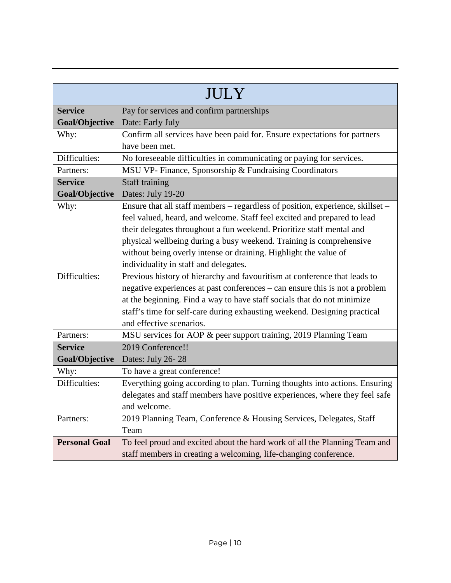| JULY                 |                                                                                |
|----------------------|--------------------------------------------------------------------------------|
| <b>Service</b>       | Pay for services and confirm partnerships                                      |
| Goal/Objective       | Date: Early July                                                               |
| Why:                 | Confirm all services have been paid for. Ensure expectations for partners      |
|                      | have been met.                                                                 |
| Difficulties:        | No foreseeable difficulties in communicating or paying for services.           |
| Partners:            | MSU VP- Finance, Sponsorship & Fundraising Coordinators                        |
| <b>Service</b>       | <b>Staff training</b>                                                          |
| Goal/Objective       | Dates: July 19-20                                                              |
| Why:                 | Ensure that all staff members – regardless of position, experience, skillset – |
|                      | feel valued, heard, and welcome. Staff feel excited and prepared to lead       |
|                      | their delegates throughout a fun weekend. Prioritize staff mental and          |
|                      | physical wellbeing during a busy weekend. Training is comprehensive            |
|                      | without being overly intense or draining. Highlight the value of               |
|                      | individuality in staff and delegates.                                          |
| Difficulties:        | Previous history of hierarchy and favouritism at conference that leads to      |
|                      | negative experiences at past conferences – can ensure this is not a problem    |
|                      | at the beginning. Find a way to have staff socials that do not minimize        |
|                      | staff's time for self-care during exhausting weekend. Designing practical      |
|                      | and effective scenarios.                                                       |
| Partners:            | MSU services for AOP & peer support training, 2019 Planning Team               |
| <b>Service</b>       | 2019 Conference!!                                                              |
| Goal/Objective       | Dates: July 26-28                                                              |
| Why:                 | To have a great conference!                                                    |
| Difficulties:        | Everything going according to plan. Turning thoughts into actions. Ensuring    |
|                      | delegates and staff members have positive experiences, where they feel safe    |
|                      | and welcome.                                                                   |
| Partners:            | 2019 Planning Team, Conference & Housing Services, Delegates, Staff            |
|                      | Team                                                                           |
| <b>Personal Goal</b> | To feel proud and excited about the hard work of all the Planning Team and     |
|                      | staff members in creating a welcoming, life-changing conference.               |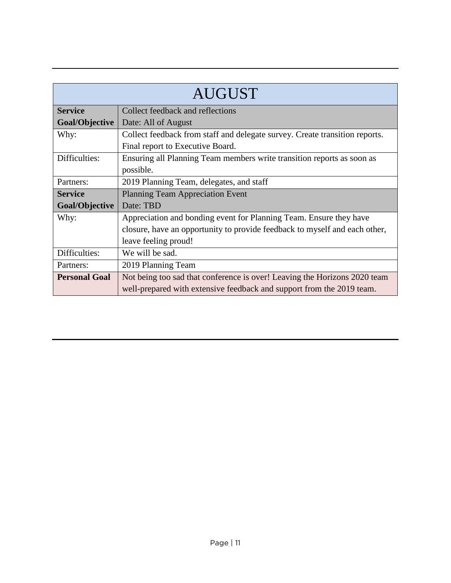| <b>AUGUST</b>        |                                                                                                                                                    |
|----------------------|----------------------------------------------------------------------------------------------------------------------------------------------------|
| <b>Service</b>       | Collect feedback and reflections                                                                                                                   |
| Goal/Objective       | Date: All of August                                                                                                                                |
| Why:                 | Collect feedback from staff and delegate survey. Create transition reports.                                                                        |
|                      | Final report to Executive Board.                                                                                                                   |
| Difficulties:        | Ensuring all Planning Team members write transition reports as soon as                                                                             |
|                      | possible.                                                                                                                                          |
| Partners:            | 2019 Planning Team, delegates, and staff                                                                                                           |
| <b>Service</b>       | <b>Planning Team Appreciation Event</b>                                                                                                            |
| Goal/Objective       | Date: TBD                                                                                                                                          |
| Why:                 | Appreciation and bonding event for Planning Team. Ensure they have                                                                                 |
|                      | closure, have an opportunity to provide feedback to myself and each other,                                                                         |
|                      | leave feeling proud!                                                                                                                               |
| Difficulties:        | We will be sad.                                                                                                                                    |
| Partners:            | 2019 Planning Team                                                                                                                                 |
| <b>Personal Goal</b> | Not being too sad that conference is over! Leaving the Horizons 2020 team<br>well-prepared with extensive feedback and support from the 2019 team. |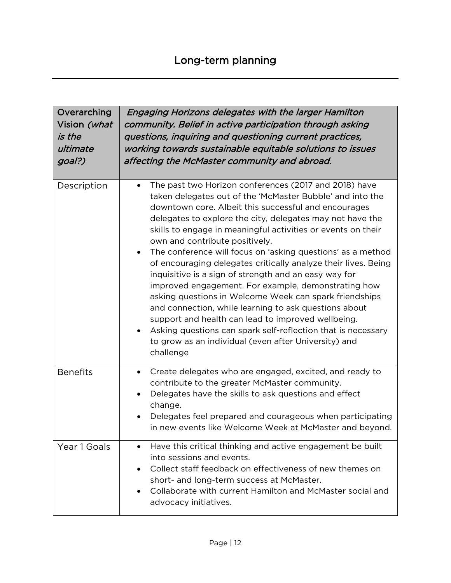| Overarching<br>Vision (what<br>is the<br>ultimate<br>goal?) | Engaging Horizons delegates with the larger Hamilton<br>community. Belief in active participation through asking<br>questions, inquiring and questioning current practices,<br>working towards sustainable equitable solutions to issues<br>affecting the McMaster community and abroad.                                                                                                                                                                                                                                                                                                                                                                                                                                                                                                                                                                                                                                                        |
|-------------------------------------------------------------|-------------------------------------------------------------------------------------------------------------------------------------------------------------------------------------------------------------------------------------------------------------------------------------------------------------------------------------------------------------------------------------------------------------------------------------------------------------------------------------------------------------------------------------------------------------------------------------------------------------------------------------------------------------------------------------------------------------------------------------------------------------------------------------------------------------------------------------------------------------------------------------------------------------------------------------------------|
| Description                                                 | The past two Horizon conferences (2017 and 2018) have<br>$\bullet$<br>taken delegates out of the 'McMaster Bubble' and into the<br>downtown core. Albeit this successful and encourages<br>delegates to explore the city, delegates may not have the<br>skills to engage in meaningful activities or events on their<br>own and contribute positively.<br>The conference will focus on 'asking questions' as a method<br>$\bullet$<br>of encouraging delegates critically analyze their lives. Being<br>inquisitive is a sign of strength and an easy way for<br>improved engagement. For example, demonstrating how<br>asking questions in Welcome Week can spark friendships<br>and connection, while learning to ask questions about<br>support and health can lead to improved wellbeing.<br>Asking questions can spark self-reflection that is necessary<br>$\bullet$<br>to grow as an individual (even after University) and<br>challenge |
| <b>Benefits</b>                                             | Create delegates who are engaged, excited, and ready to<br>$\bullet$<br>contribute to the greater McMaster community.<br>Delegates have the skills to ask questions and effect<br>$\bullet$<br>change.<br>Delegates feel prepared and courageous when participating<br>in new events like Welcome Week at McMaster and beyond.                                                                                                                                                                                                                                                                                                                                                                                                                                                                                                                                                                                                                  |
| Year 1 Goals                                                | Have this critical thinking and active engagement be built<br>$\bullet$<br>into sessions and events.<br>Collect staff feedback on effectiveness of new themes on<br>short- and long-term success at McMaster.<br>Collaborate with current Hamilton and McMaster social and<br>$\bullet$<br>advocacy initiatives.                                                                                                                                                                                                                                                                                                                                                                                                                                                                                                                                                                                                                                |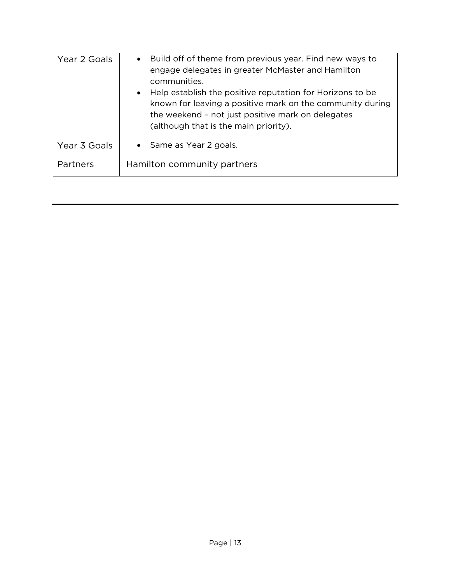| Year 2 Goals | Build off of theme from previous year. Find new ways to<br>$\bullet$<br>engage delegates in greater McMaster and Hamilton<br>communities.<br>Help establish the positive reputation for Horizons to be<br>$\bullet$<br>known for leaving a positive mark on the community during<br>the weekend - not just positive mark on delegates<br>(although that is the main priority). |
|--------------|--------------------------------------------------------------------------------------------------------------------------------------------------------------------------------------------------------------------------------------------------------------------------------------------------------------------------------------------------------------------------------|
| Year 3 Goals | • Same as Year 2 goals.                                                                                                                                                                                                                                                                                                                                                        |
| Partners     | Hamilton community partners                                                                                                                                                                                                                                                                                                                                                    |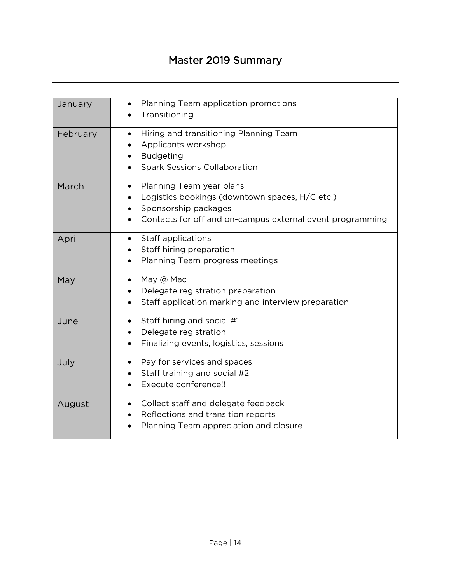# Master 2019 Summary

| January  | Planning Team application promotions<br>$\bullet$<br>Transitioning                                                                                                           |
|----------|------------------------------------------------------------------------------------------------------------------------------------------------------------------------------|
| February | Hiring and transitioning Planning Team<br>$\bullet$<br>Applicants workshop<br><b>Budgeting</b><br>$\bullet$<br><b>Spark Sessions Collaboration</b>                           |
| March    | Planning Team year plans<br>$\bullet$<br>Logistics bookings (downtown spaces, H/C etc.)<br>Sponsorship packages<br>Contacts for off and on-campus external event programming |
| April    | Staff applications<br>$\bullet$<br>Staff hiring preparation<br>Planning Team progress meetings<br>$\bullet$                                                                  |
| May      | May @ Mac<br>$\bullet$<br>Delegate registration preparation<br>Staff application marking and interview preparation                                                           |
| June     | Staff hiring and social #1<br>$\bullet$<br>Delegate registration<br>Finalizing events, logistics, sessions<br>$\bullet$                                                      |
| July     | Pay for services and spaces<br>$\bullet$<br>Staff training and social #2<br>Execute conference!!                                                                             |
| August   | Collect staff and delegate feedback<br>$\bullet$<br>Reflections and transition reports<br>Planning Team appreciation and closure                                             |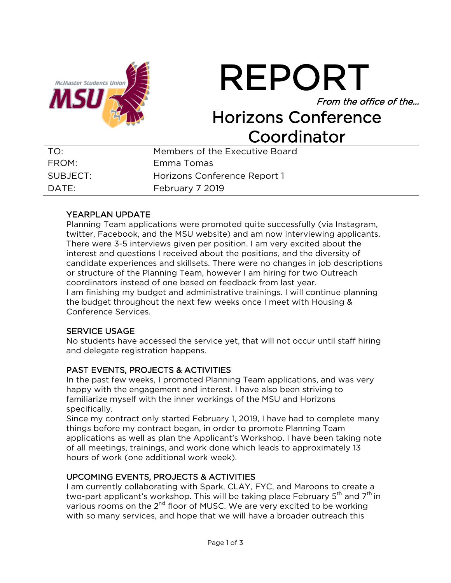

REPORT

From the office of the…

# Horizons Conference Coordinator

| TO:      | Members of the Executive Board |
|----------|--------------------------------|
| FROM:    | Emma Tomas                     |
| SUBJECT: | Horizons Conference Report 1   |
| DATF:    | February 7 2019                |

# YEARPLAN UPDATE

Planning Team applications were promoted quite successfully (via Instagram, twitter, Facebook, and the MSU website) and am now interviewing applicants. There were 3-5 interviews given per position. I am very excited about the interest and questions I received about the positions, and the diversity of candidate experiences and skillsets. There were no changes in job descriptions or structure of the Planning Team, however I am hiring for two Outreach coordinators instead of one based on feedback from last year. I am finishing my budget and administrative trainings. I will continue planning the budget throughout the next few weeks once I meet with Housing & Conference Services.

# SERVICE USAGE

No students have accessed the service yet, that will not occur until staff hiring and delegate registration happens.

# PAST EVENTS, PROJECTS & ACTIVITIES

In the past few weeks, I promoted Planning Team applications, and was very happy with the engagement and interest. I have also been striving to familiarize myself with the inner workings of the MSU and Horizons specifically.

Since my contract only started February 1, 2019, I have had to complete many things before my contract began, in order to promote Planning Team applications as well as plan the Applicant's Workshop. I have been taking note of all meetings, trainings, and work done which leads to approximately 13 hours of work (one additional work week).

# UPCOMING EVENTS, PROJECTS & ACTIVITIES

I am currently collaborating with Spark, CLAY, FYC, and Maroons to create a two-part applicant's workshop. This will be taking place February  $5<sup>th</sup>$  and  $7<sup>th</sup>$  in various rooms on the  $2<sup>nd</sup>$  floor of MUSC. We are very excited to be working with so many services, and hope that we will have a broader outreach this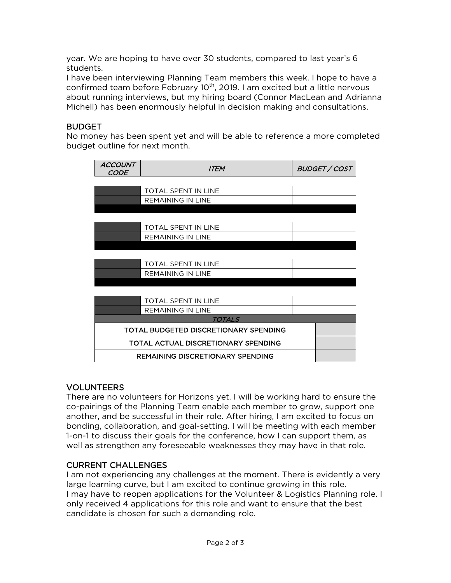year. We are hoping to have over 30 students, compared to last year's 6 students.

I have been interviewing Planning Team members this week. I hope to have a confirmed team before February 10<sup>th</sup>, 2019. I am excited but a little nervous about running interviews, but my hiring board (Connor MacLean and Adrianna Michell) has been enormously helpful in decision making and consultations.

# **BUDGET**

No money has been spent yet and will be able to reference a more completed budget outline for next month.

| ACCOUNT<br><b>CODE</b> | <b>ITEM</b>                                | BUDGET / COST |
|------------------------|--------------------------------------------|---------------|
|                        |                                            |               |
|                        | <b>TOTAL SPENT IN LINE</b>                 |               |
|                        | <b>REMAINING IN LINE</b>                   |               |
|                        |                                            |               |
|                        |                                            |               |
|                        | <b>TOTAL SPENT IN LINE</b>                 |               |
|                        | <b>REMAINING IN LINE</b>                   |               |
|                        |                                            |               |
|                        |                                            |               |
|                        | <b>TOTAL SPENT IN LINE</b>                 |               |
|                        | <b>REMAINING IN LINE</b>                   |               |
|                        |                                            |               |
|                        |                                            |               |
|                        | <b>TOTAL SPENT IN LINE</b>                 |               |
|                        | <b>REMAINING IN LINE</b>                   |               |
|                        | TOTALS                                     |               |
|                        | TOTAL BUDGETED DISCRETIONARY SPENDING      |               |
|                        | <b>TOTAL ACTUAL DISCRETIONARY SPENDING</b> |               |
|                        | <b>REMAINING DISCRETIONARY SPENDING</b>    |               |

# VOLUNTEERS

There are no volunteers for Horizons yet. I will be working hard to ensure the co-pairings of the Planning Team enable each member to grow, support one another, and be successful in their role. After hiring, I am excited to focus on bonding, collaboration, and goal-setting. I will be meeting with each member 1-on-1 to discuss their goals for the conference, how I can support them, as well as strengthen any foreseeable weaknesses they may have in that role.

# CURRENT CHALLENGES

I am not experiencing any challenges at the moment. There is evidently a very large learning curve, but I am excited to continue growing in this role. I may have to reopen applications for the Volunteer & Logistics Planning role. I only received 4 applications for this role and want to ensure that the best candidate is chosen for such a demanding role.